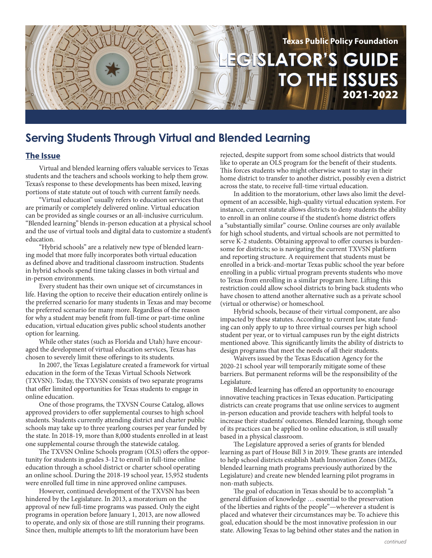

# **Serving Students Through Virtual and Blended Learning**

## **The Issue**

Virtual and blended learning offers valuable services to Texas students and the teachers and schools working to help them grow. Texas's response to these developments has been mixed, leaving portions of state statute out of touch with current family needs.

"Virtual education" usually refers to education services that are primarily or completely delivered online. Virtual education can be provided as single courses or an all-inclusive curriculum. "Blended learning" blends in-person education at a physical school and the use of virtual tools and digital data to customize a student's education.

"Hybrid schools" are a relatively new type of blended learning model that more fully incorporates both virtual education as defined above and traditional classroom instruction. Students in hybrid schools spend time taking classes in both virtual and in-person environments.

Every student has their own unique set of circumstances in life. Having the option to receive their education entirely online is the preferred scenario for many students in Texas and may become the preferred scenario for many more. Regardless of the reason for why a student may benefit from full-time or part-time online education, virtual education gives public school students another option for learning.

While other states (such as Florida and Utah) have encouraged the development of virtual education services, Texas has chosen to severely limit these offerings to its students.

In 2007, the Texas Legislature created a framework for virtual education in the form of the Texas Virtual Schools Network (TXVSN). Today, the TXVSN consists of two separate programs that offer limited opportunities for Texas students to engage in online education.

One of those programs, the TXVSN Course Catalog, allows approved providers to offer supplemental courses to high school students. Students currently attending district and charter public schools may take up to three yearlong courses per year funded by the state. In 2018-19, more than 8,000 students enrolled in at least one supplemental course through the statewide catalog.

The TXVSN Online Schools program (OLS) offers the opportunity for students in grades 3-12 to enroll in full-time online education through a school district or charter school operating an online school. During the 2018-19 school year, 15,952 students were enrolled full time in nine approved online campuses.

However, continued development of the TXVSN has been hindered by the Legislature. In 2013, a moratorium on the approval of new full-time programs was passed. Only the eight programs in operation before January 1, 2013, are now allowed to operate, and only six of those are still running their programs. Since then, multiple attempts to lift the moratorium have been

rejected, despite support from some school districts that would like to operate an OLS program for the benefit of their students. This forces students who might otherwise want to stay in their home district to transfer to another district, possibly even a district across the state, to receive full-time virtual education.

In addition to the moratorium, other laws also limit the development of an accessible, high-quality virtual education system. For instance, current statute allows districts to deny students the ability to enroll in an online course if the student's home district offers a "substantially similar" course. Online courses are only available for high school students, and virtual schools are not permitted to serve K-2 students. Obtaining approval to offer courses is burdensome for districts; so is navigating the current TXVSN platform and reporting structure. A requirement that students must be enrolled in a brick-and-mortar Texas public school the year before enrolling in a public virtual program prevents students who move to Texas from enrolling in a similar program here. Lifting this restriction could allow school districts to bring back students who have chosen to attend another alternative such as a private school (virtual or otherwise) or homeschool.

Hybrid schools, because of their virtual component, are also impacted by these statutes. According to current law, state funding can only apply to up to three virtual courses per high school student per year, or to virtual campuses run by the eight districts mentioned above. This significantly limits the ability of districts to design programs that meet the needs of all their students.

Waivers issued by the Texas Education Agency for the 2020-21 school year will temporarily mitigate some of these barriers. But permanent reforms will be the responsibility of the Legislature.

Blended learning has offered an opportunity to encourage innovative teaching practices in Texas education. Participating districts can create programs that use online services to augment in-person education and provide teachers with helpful tools to increase their students' outcomes. Blended learning, though some of its practices can be applied to online education, is still usually based in a physical classroom.

The Legislature approved a series of grants for blended learning as part of House Bill 3 in 2019. These grants are intended to help school districts establish Math Innovation Zones (MIZs, blended learning math programs previously authorized by the Legislature) and create new blended learning pilot programs in non-math subjects.

The goal of education in Texas should be to accomplish "a general diffusion of knowledge … essential to the preservation of the liberties and rights of the people"—wherever a student is placed and whatever their circumstances may be. To achieve this goal, education should be the most innovative profession in our state. Allowing Texas to lag behind other states and the nation in